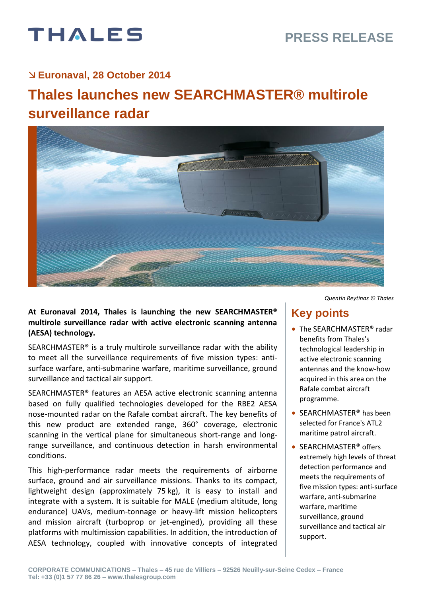# THALES

#### **Euronaval, 28 October 2014**

## **Thales launches new SEARCHMASTER® multirole surveillance radar**



#### **At Euronaval 2014, Thales is launching the new SEARCHMASTER® multirole surveillance radar with active electronic scanning antenna (AESA) technology.**

SEARCHMASTER® is a truly multirole surveillance radar with the ability to meet all the surveillance requirements of five mission types: antisurface warfare, anti-submarine warfare, maritime surveillance, ground surveillance and tactical air support.

SEARCHMASTER® features an AESA active electronic scanning antenna based on fully qualified technologies developed for the RBE2 AESA nose-mounted radar on the Rafale combat aircraft. The key benefits of this new product are extended range, 360° coverage, electronic scanning in the vertical plane for simultaneous short-range and longrange surveillance, and continuous detection in harsh environmental conditions.

This high-performance radar meets the requirements of airborne surface, ground and air surveillance missions. Thanks to its compact, lightweight design (approximately 75 kg), it is easy to install and integrate with a system. It is suitable for MALE (medium altitude, long endurance) UAVs, medium-tonnage or heavy-lift mission helicopters and mission aircraft (turboprop or jet-engined), providing all these platforms with multimission capabilities. In addition, the introduction of AESA technology, coupled with innovative concepts of integrated *Quentin Reytinas © Thales* 

## **Key points**

- The SEARCHMASTER<sup>®</sup> radar benefits from Thales's technological leadership in active electronic scanning antennas and the know-how acquired in this area on the Rafale combat aircraft programme.
- SEARCHMASTER<sup>®</sup> has been selected for France's ATL2 maritime patrol aircraft.
- SEARCHMASTER<sup>®</sup> offers extremely high levels of threat detection performance and meets the requirements of five mission types: anti-surface warfare, anti-submarine warfare, maritime surveillance, ground surveillance and tactical air support.